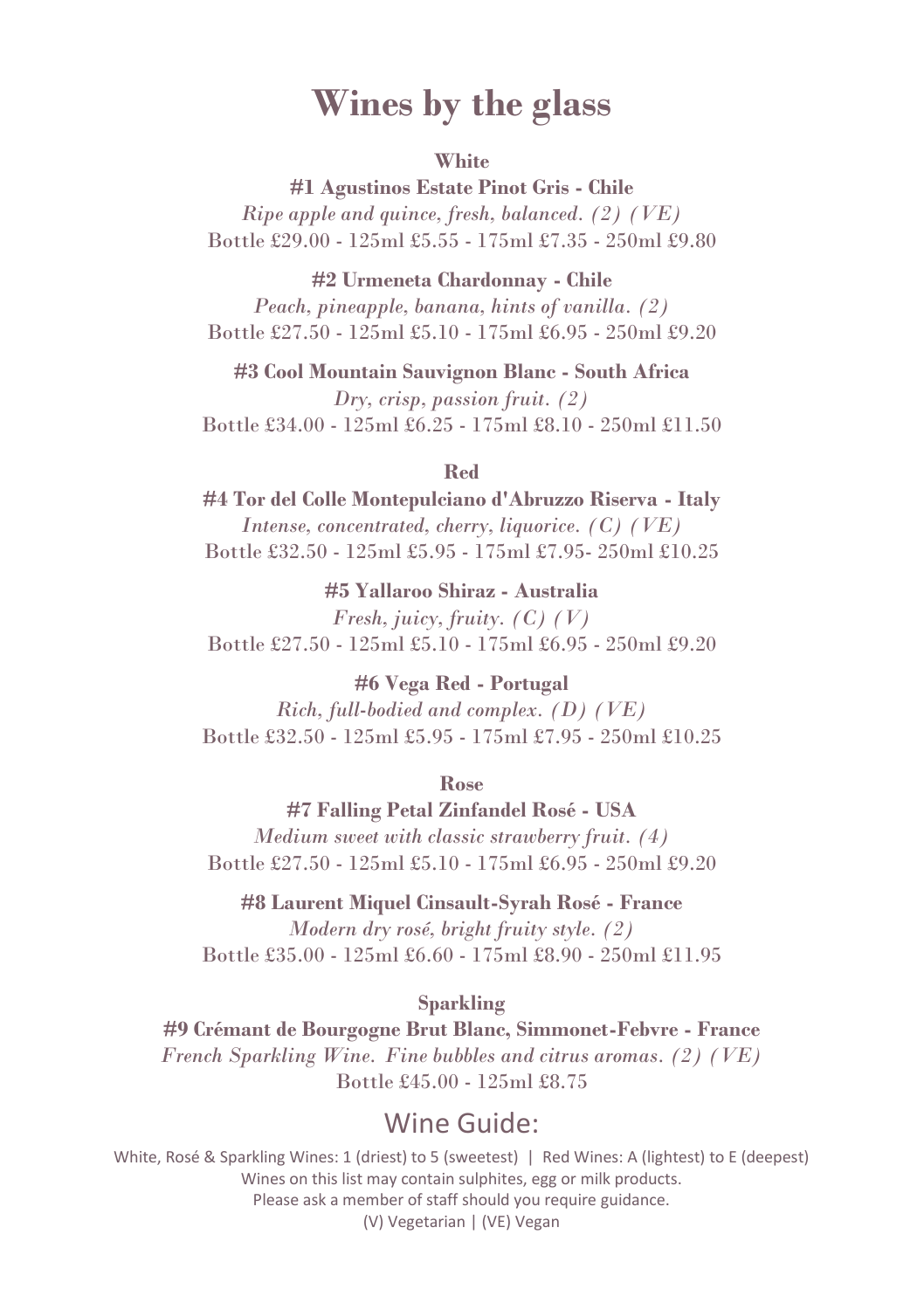# **Wines by the glass**

#### **White**

**#1 Agustinos Estate Pinot Gris - Chile** *Ripe apple and quince, fresh, balanced. (2) (VE)* Bottle £29.00 - 125ml £5.55 - 175ml £7.35 - 250ml £9.80

**#2 Urmeneta Chardonnay - Chile**

*Peach, pineapple, banana, hints of vanilla. (2)* Bottle £27.50 - 125ml £5.10 - 175ml £6.95 - 250ml £9.20

**#3 Cool Mountain Sauvignon Blanc - South Africa**

*Dry, crisp, passion fruit. (2)* Bottle £34.00 - 125ml £6.25 - 175ml £8.10 - 250ml £11.50

#### **Red**

**#4 Tor del Colle Montepulciano d'Abruzzo Riserva - Italy** *Intense, concentrated, cherry, liquorice. (C) (VE)* Bottle £32.50 - 125ml £5.95 - 175ml £7.95- 250ml £10.25

**#5 Yallaroo Shiraz - Australia** *Fresh, juicy, fruity. (C) (V)* Bottle £27.50 - 125ml £5.10 - 175ml £6.95 - 250ml £9.20

**#6 Vega Red - Portugal** *Rich, full-bodied and complex. (D) (VE)* Bottle £32.50 - 125ml £5.95 - 175ml £7.95 - 250ml £10.25

**Rose** 

**#7 Falling Petal Zinfandel Rosé - USA** *Medium sweet with classic strawberry fruit. (4)* Bottle £27.50 - 125ml £5.10 - 175ml £6.95 - 250ml £9.20

**#8 Laurent Miquel Cinsault-Syrah Rosé - France**

*Modern dry rosé, bright fruity style. (2)* Bottle £35.00 - 125ml £6.60 - 175ml £8.90 - 250ml £11.95

**Sparkling**

**#9 Crémant de Bourgogne Brut Blanc, Simmonet-Febvre - France** *French Sparkling Wine. Fine bubbles and citrus aromas. (2) (VE)* Bottle £45.00 - 125ml £8.75

#### Wine Guide: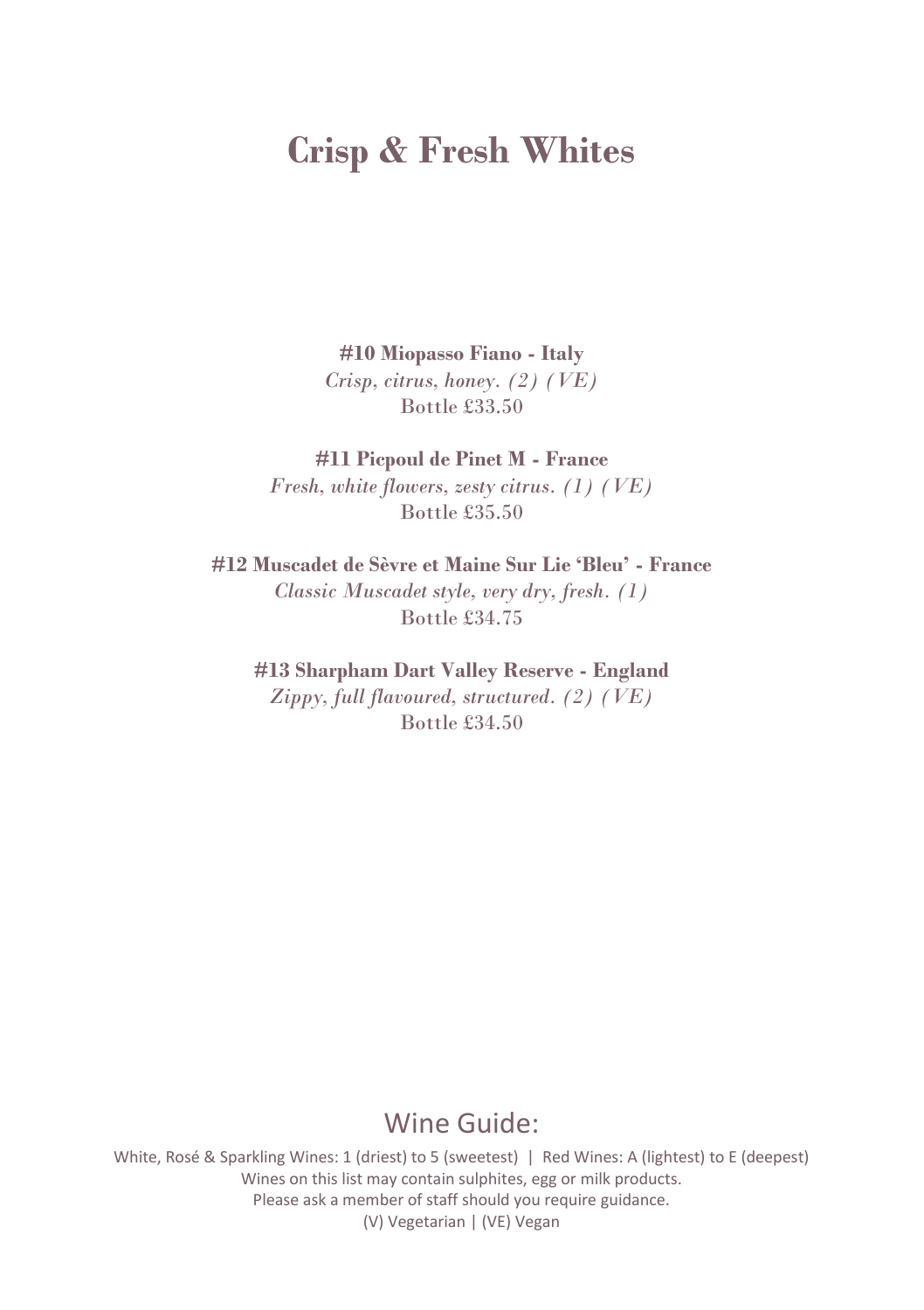# **Crisp & Fresh Whites**

**#10 Miopasso Fiano - Italy** *Crisp, citrus, honey. (2) (VE)* Bottle £33.50

**#11 Picpoul de Pinet M - France** *Fresh, white flowers, zesty citrus. (1) (VE)* Bottle £35.50

**#12 Muscadet de Sèvre et Maine Sur Lie 'Bleu' - France** *Classic Muscadet style, very dry, fresh. (1)* Bottle £34.75

**#13 Sharpham Dart Valley Reserve - England** *Zippy, full flavoured, structured. (2) (VE)* Bottle £34.50

#### Wine Guide: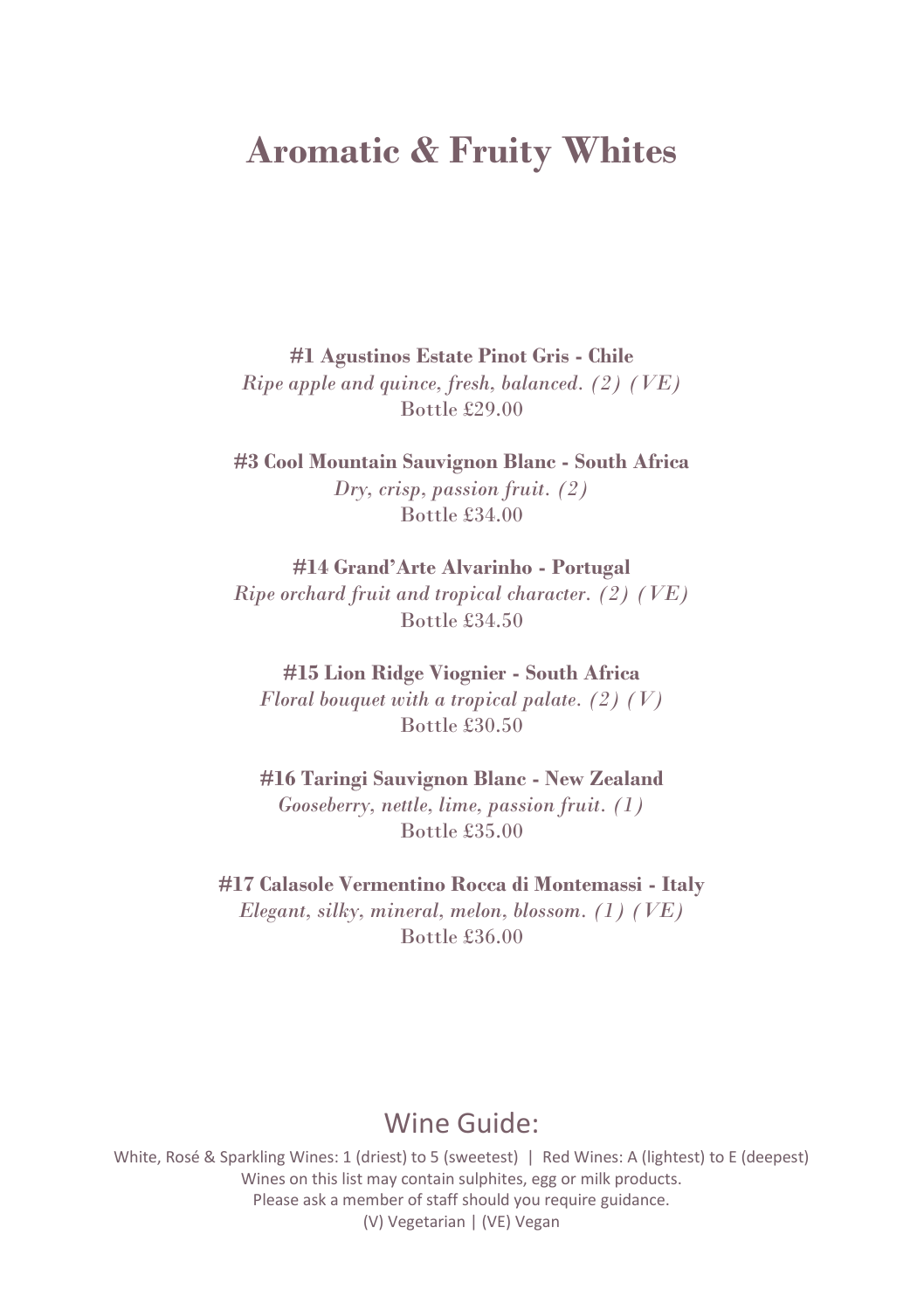# **Aromatic & Fruity Whites**

**#1 Agustinos Estate Pinot Gris - Chile**

*Ripe apple and quince, fresh, balanced. (2) (VE)* Bottle £29.00

**#3 Cool Mountain Sauvignon Blanc - South Africa** *Dry, crisp, passion fruit. (2)* Bottle £34.00

**#14 Grand'Arte Alvarinho - Portugal** *Ripe orchard fruit and tropical character. (2) (VE)* Bottle £34.50

**#15 Lion Ridge Viognier - South Africa** *Floral bouquet with a tropical palate. (2) (V)* Bottle £30.50

**#16 Taringi Sauvignon Blanc - New Zealand** *Gooseberry, nettle, lime, passion fruit. (1)* Bottle £35.00

**#17 Calasole Vermentino Rocca di Montemassi - Italy** *Elegant, silky, mineral, melon, blossom. (1) (VE)* Bottle £36.00

### Wine Guide: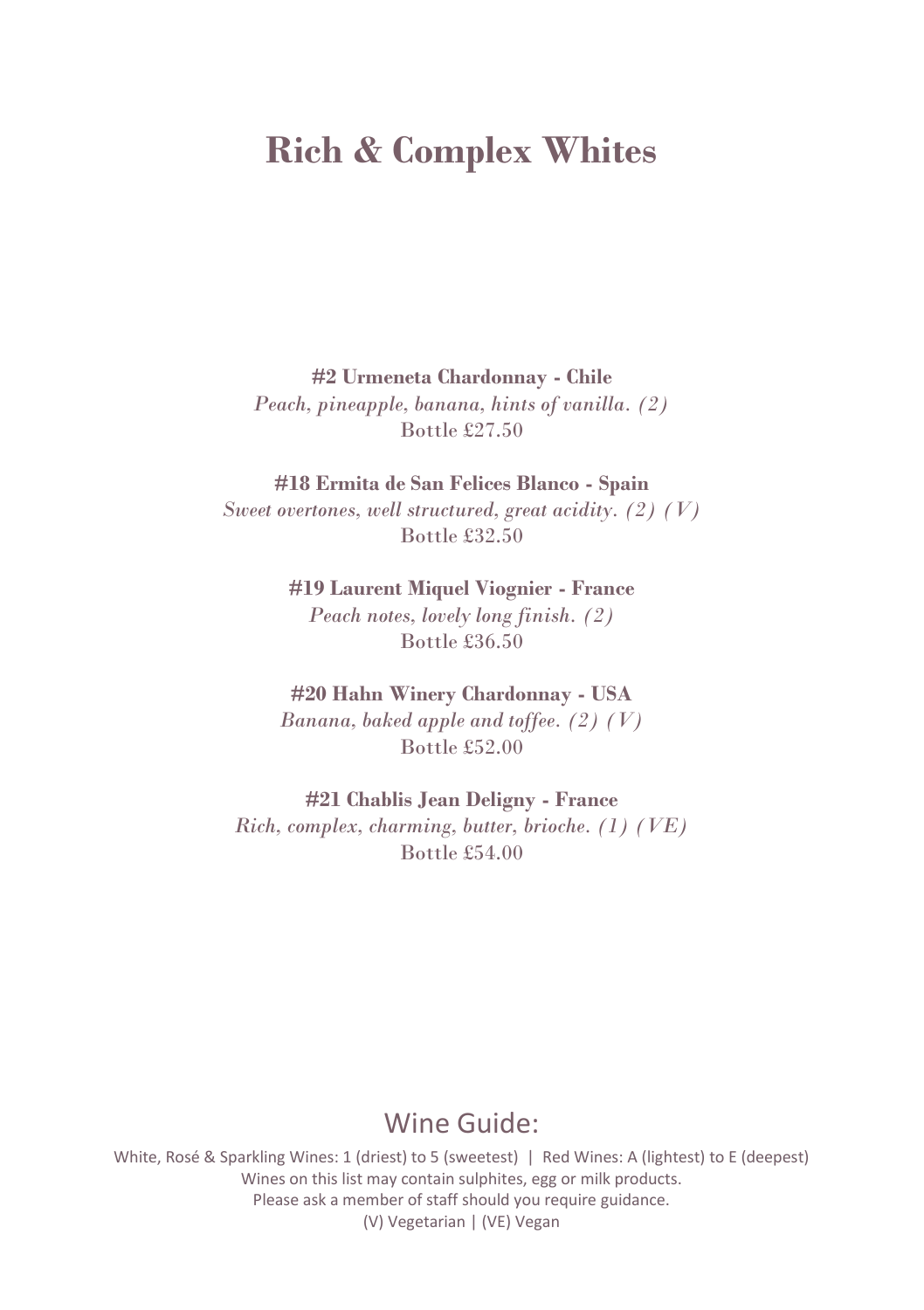# **Rich & Complex Whites**

**#2 Urmeneta Chardonnay - Chile**

*Peach, pineapple, banana, hints of vanilla. (2)* Bottle £27.50

**#18 Ermita de San Felices Blanco - Spain**

*Sweet overtones, well structured, great acidity. (2) (V)* Bottle £32.50

**#19 Laurent Miquel Viognier - France**

*Peach notes, lovely long finish. (2)* Bottle £36.50

**#20 Hahn Winery Chardonnay - USA**

*Banana, baked apple and toffee. (2) (V)* Bottle £52.00

**#21 Chablis Jean Deligny - France**

*Rich, complex, charming, butter, brioche. (1) (VE)* Bottle £54.00

### Wine Guide: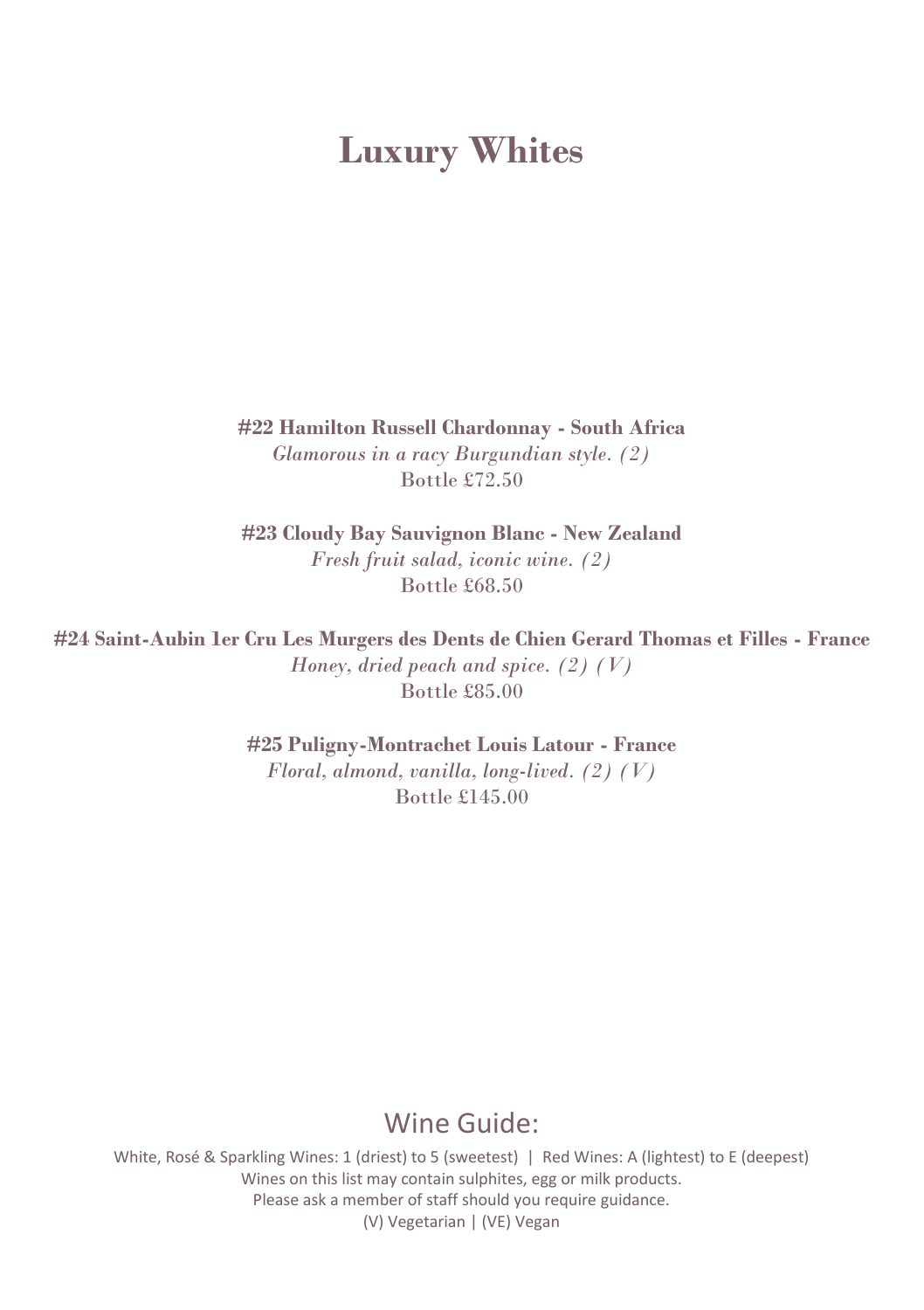# **Luxury Whites**

**#22 Hamilton Russell Chardonnay - South Africa** *Glamorous in a racy Burgundian style. (2)* Bottle £72.50

**#23 Cloudy Bay Sauvignon Blanc - New Zealand** *Fresh fruit salad, iconic wine. (2)* Bottle £68.50

**#24 Saint-Aubin 1er Cru Les Murgers des Dents de Chien Gerard Thomas et Filles - France** *Honey, dried peach and spice. (2) (V)* Bottle £85.00

**#25 Puligny-Montrachet Louis Latour - France**

*Floral, almond, vanilla, long-lived. (2) (V)* Bottle £145.00

#### Wine Guide: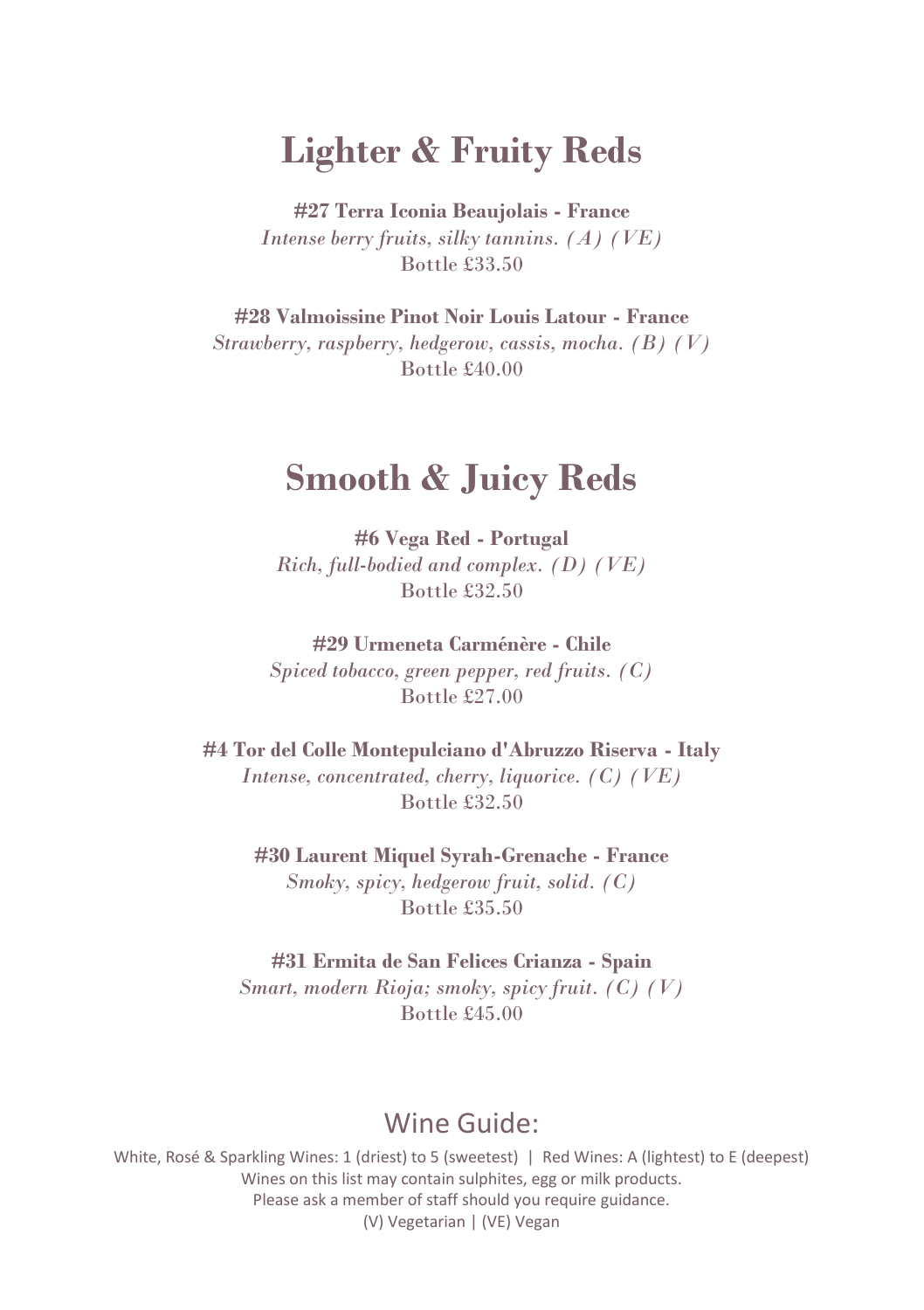## **Lighter & Fruity Reds**

**#27 Terra Iconia Beaujolais - France** *Intense berry fruits, silky tannins. (A) (VE)* Bottle £33.50

**#28 Valmoissine Pinot Noir Louis Latour - France** *Strawberry, raspberry, hedgerow, cassis, mocha. (B) (V)* Bottle £40.00

### **Smooth & Juicy Reds**

**#6 Vega Red - Portugal** *Rich, full-bodied and complex. (D) (VE)* Bottle £32.50

**#29 Urmeneta Carménère - Chile**

*Spiced tobacco, green pepper, red fruits. (C)* Bottle £27.00

**#4 Tor del Colle Montepulciano d'Abruzzo Riserva - Italy** *Intense, concentrated, cherry, liquorice. (C) (VE)* Bottle £32.50

> **#30 Laurent Miquel Syrah-Grenache - France** *Smoky, spicy, hedgerow fruit, solid. (C)* Bottle £35.50

**#31 Ermita de San Felices Crianza - Spain** *Smart, modern Rioja; smoky, spicy fruit. (C) (V)* Bottle £45.00

#### Wine Guide: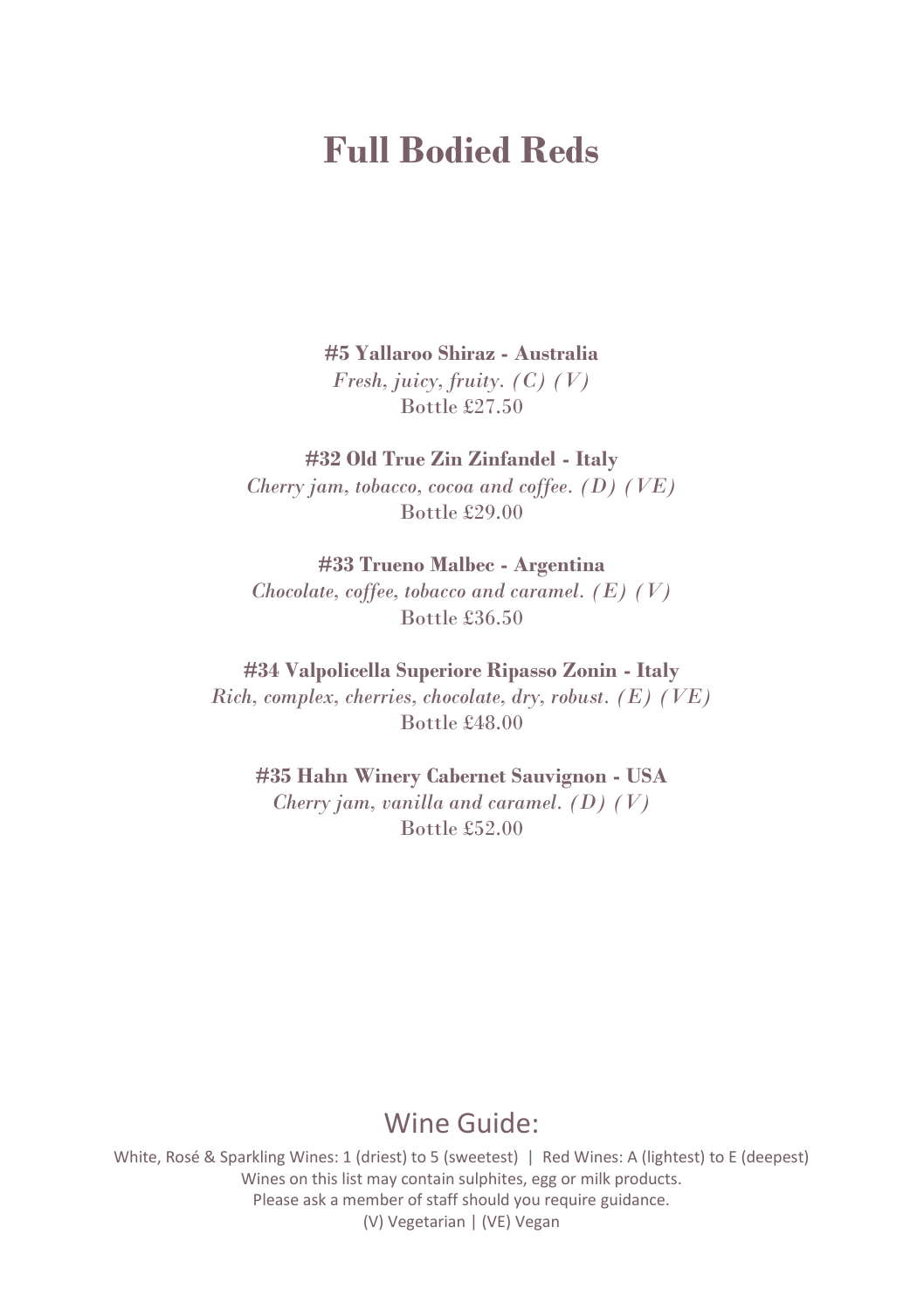# **Full Bodied Reds**

**#5 Yallaroo Shiraz - Australia** *Fresh, juicy, fruity. (C) (V)* Bottle £27.50

**#32 Old True Zin Zinfandel - Italy** *Cherry jam, tobacco, cocoa and coffee. (D) (VE)* Bottle £29.00

**#33 Trueno Malbec - Argentina** *Chocolate, coffee, tobacco and caramel. (E) (V)* Bottle £36.50

**#34 Valpolicella Superiore Ripasso Zonin - Italy** *Rich, complex, cherries, chocolate, dry, robust. (E) (VE)* Bottle £48.00

**#35 Hahn Winery Cabernet Sauvignon - USA** *Cherry jam, vanilla and caramel. (D) (V)* Bottle £52.00

### Wine Guide: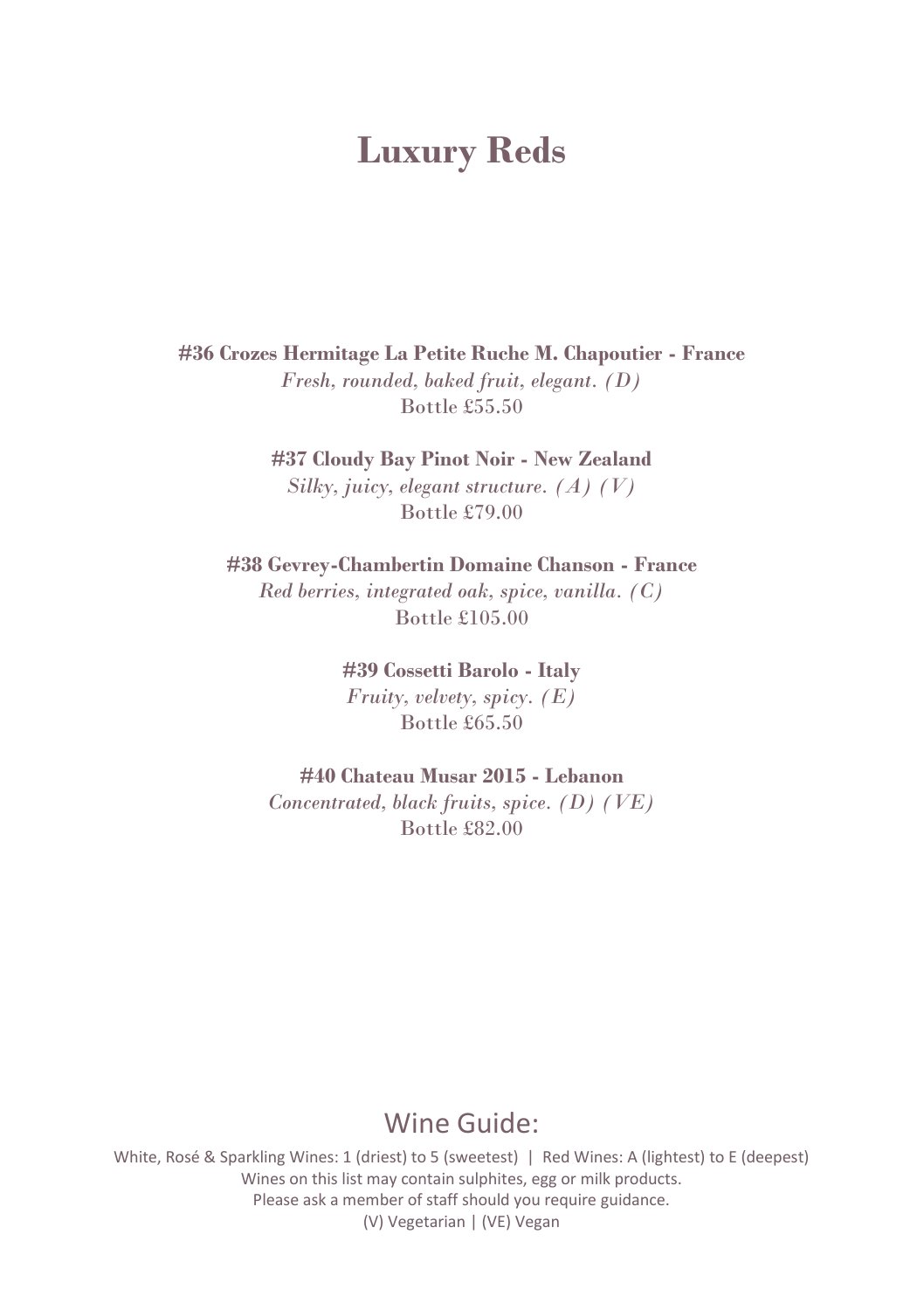### **Luxury Reds**

**#36 Crozes Hermitage La Petite Ruche M. Chapoutier - France** *Fresh, rounded, baked fruit, elegant. (D)* Bottle £55.50

> **#37 Cloudy Bay Pinot Noir - New Zealand** *Silky, juicy, elegant structure. (A) (V)* Bottle £79.00

**#38 Gevrey-Chambertin Domaine Chanson - France** *Red berries, integrated oak, spice, vanilla. (C)* Bottle £105.00

> **#39 Cossetti Barolo - Italy** *Fruity, velvety, spicy. (E)* Bottle £65.50

**#40 Chateau Musar 2015 - Lebanon**

*Concentrated, black fruits, spice. (D) (VE)* Bottle £82.00

### Wine Guide: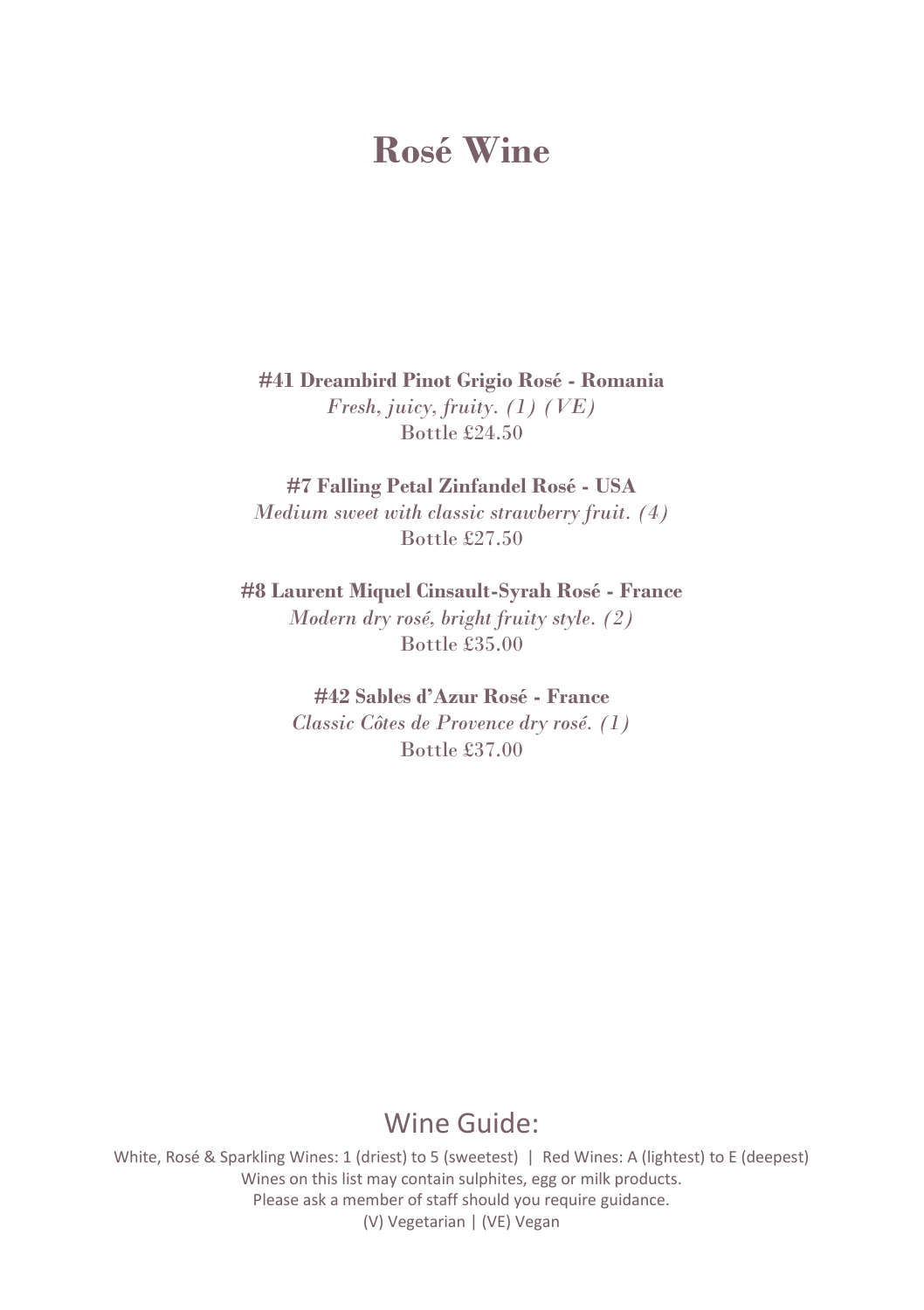# **Rosé Wine**

**#41 Dreambird Pinot Grigio Rosé - Romania** *Fresh, juicy, fruity. (1) (VE)* Bottle £24.50

**#7 Falling Petal Zinfandel Rosé - USA** *Medium sweet with classic strawberry fruit. (4)* Bottle £27.50

**#8 Laurent Miquel Cinsault-Syrah Rosé - France** *Modern dry rosé, bright fruity style. (2)* Bottle £35.00

> **#42 Sables d'Azur Rosé - France** *Classic Côtes de Provence dry rosé. (1)* Bottle £37.00

#### Wine Guide: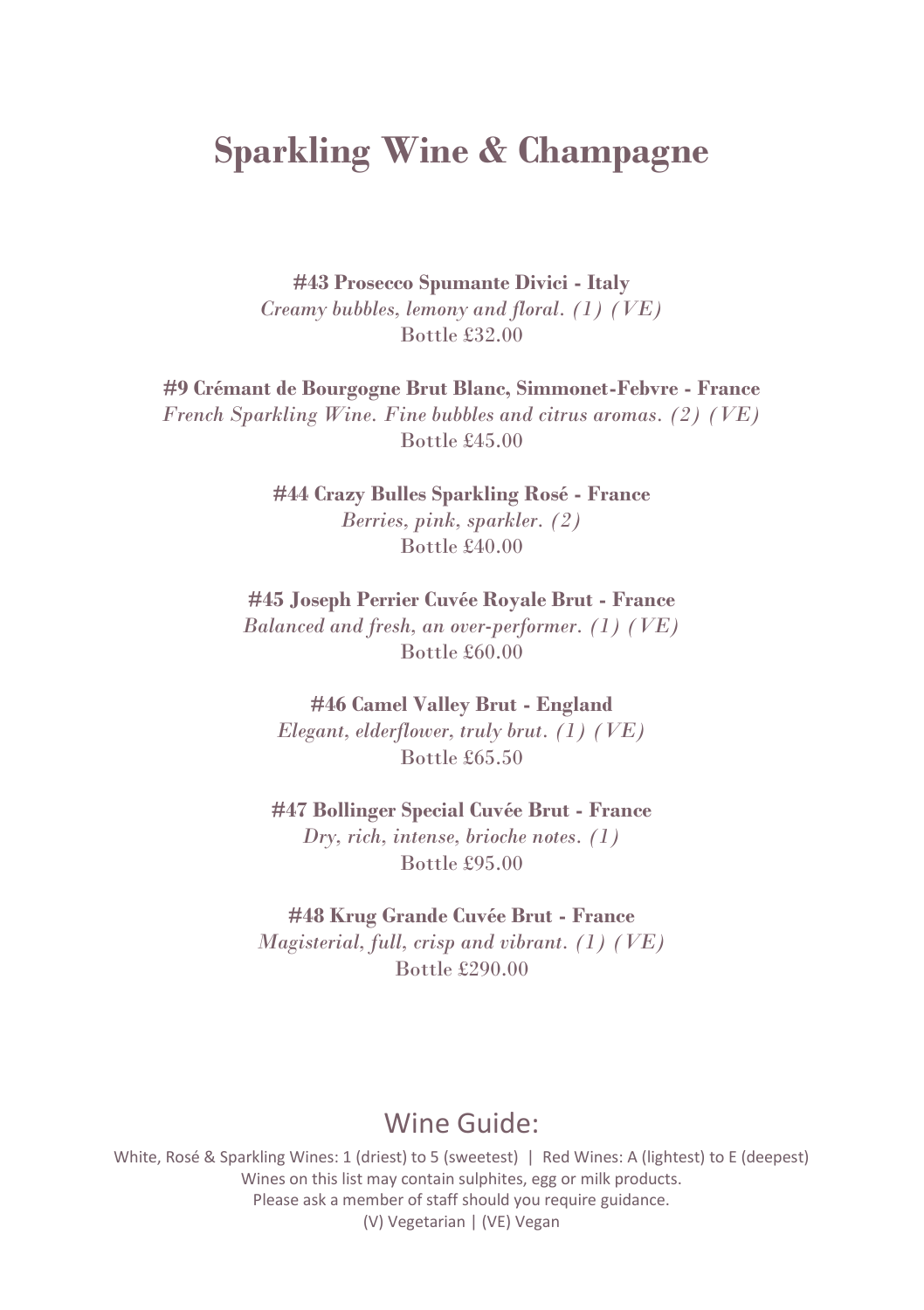# **Sparkling Wine & Champagne**

**#43 Prosecco Spumante Divici - Italy** *Creamy bubbles, lemony and floral. (1) (VE)* Bottle £32.00

**#9 Crémant de Bourgogne Brut Blanc, Simmonet-Febvre - France** *French Sparkling Wine. Fine bubbles and citrus aromas. (2) (VE)* Bottle £45.00

> **#44 Crazy Bulles Sparkling Rosé - France** *Berries, pink, sparkler. (2)* Bottle £40.00

**#45 Joseph Perrier Cuvée Royale Brut - France** *Balanced and fresh, an over-performer. (1) (VE)* Bottle £60.00

**#46 Camel Valley Brut - England** *Elegant, elderflower, truly brut. (1) (VE)* Bottle £65.50

**#47 Bollinger Special Cuvée Brut - France** *Dry, rich, intense, brioche notes. (1)* Bottle £95.00

**#48 Krug Grande Cuvée Brut - France** *Magisterial, full, crisp and vibrant. (1) (VE)* Bottle £290.00

#### Wine Guide: